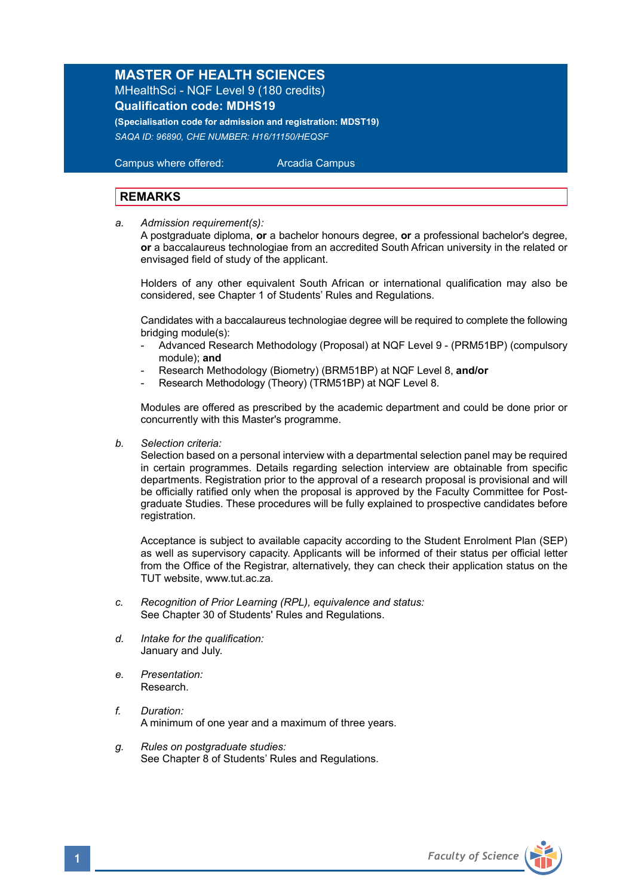## **MASTER OF HEALTH SCIENCES** MHealthSci - NQF Level 9 (180 credits) **Qualification code: MDHS19**

**(Specialisation code for admission and registration: MDST19)** *SAQA ID: 96890, CHE NUMBER: H16/11150/HEQSF* 

 Campus where offered: Arcadia Campus

## **REMARKS**

*a. Admission requirement(s):* 

A postgraduate diploma, **or** a bachelor honours degree, **or** a professional bachelor's degree, **or** a baccalaureus technologiae from an accredited South African university in the related or envisaged field of study of the applicant.

 Holders of any other equivalent South African or international qualification may also be considered, see Chapter 1 of Students' Rules and Regulations.

 Candidates with a baccalaureus technologiae degree will be required to complete the following bridging module(s):

- Advanced Research Methodology (Proposal) at NQF Level 9 (PRM51BP) (compulsory module); **and**
- Research Methodology (Biometry) (BRM51BP) at NQF Level 8, **and/or**
- Research Methodology (Theory) (TRM51BP) at NQF Level 8.

Modules are offered as prescribed by the academic department and could be done prior or concurrently with this Master's programme.

*b. Selection criteria:*

Selection based on a personal interview with a departmental selection panel may be required in certain programmes. Details regarding selection interview are obtainable from specific departments. Registration prior to the approval of a research proposal is provisional and will be officially ratified only when the proposal is approved by the Faculty Committee for Postgraduate Studies. These procedures will be fully explained to prospective candidates before registration.

Acceptance is subject to available capacity according to the Student Enrolment Plan (SEP) as well as supervisory capacity. Applicants will be informed of their status per official letter from the Office of the Registrar, alternatively, they can check their application status on the TUT website, www.tut.ac.za.

- *c. Recognition of Prior Learning (RPL), equivalence and status:* See Chapter 30 of Students' Rules and Regulations.
- *d. Intake for the qualification:* January and July.
- *e. Presentation:* Research.
- *f. Duration:*  A minimum of one year and a maximum of three years.
- *g. Rules on postgraduate studies:* See Chapter 8 of Students' Rules and Regulations.